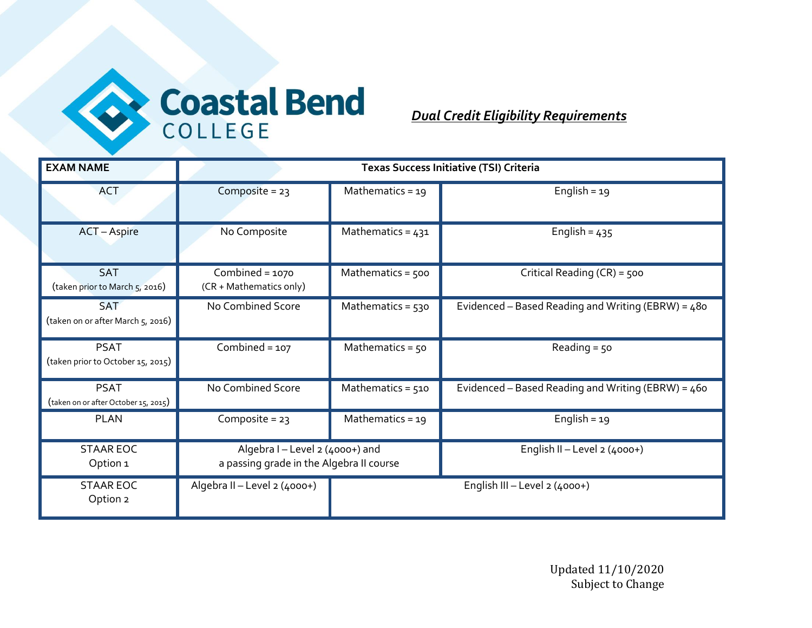

## *Dual Credit Eligibility Requirements*

| <b>EXAM NAME</b>                                    |                                                                             | <b>Texas Success Initiative (TSI) Criteria</b> |                                                      |  |
|-----------------------------------------------------|-----------------------------------------------------------------------------|------------------------------------------------|------------------------------------------------------|--|
| <b>ACT</b>                                          | Composite = $23$                                                            | Mathematics = $19$                             | English = $19$                                       |  |
| <b>ACT</b> – Aspire                                 | No Composite                                                                | Mathematics = $431$                            | English = $435$                                      |  |
| <b>SAT</b><br>(taken prior to March 5, 2016)        | Combined = $1070$<br>(CR + Mathematics only)                                | Mathematics = 500                              | Critical Reading (CR) = 500                          |  |
| <b>SAT</b><br>(taken on or after March 5, 2016)     | No Combined Score                                                           | Mathematics = $530$                            | Evidenced – Based Reading and Writing (EBRW) = $480$ |  |
| <b>PSAT</b><br>(taken prior to October 15, 2015)    | Combined = $107$                                                            | Mathematics = $50$                             | Reading $=$ 50                                       |  |
| <b>PSAT</b><br>(taken on or after October 15, 2015) | No Combined Score                                                           | Mathematics = $510$                            | Evidenced - Based Reading and Writing (EBRW) = 460   |  |
| <b>PLAN</b>                                         | Composite = $23$                                                            | Mathematics = $19$                             | English = $19$                                       |  |
| <b>STAAR EOC</b><br>Option 1                        | Algebra I - Level 2 (4000+) and<br>a passing grade in the Algebra II course |                                                | English II - Level 2 (4000+)                         |  |
| <b>STAAR EOC</b><br>Option 2                        | Algebra II - Level 2 (4000+)                                                | English III - Level 2 (4000+)                  |                                                      |  |